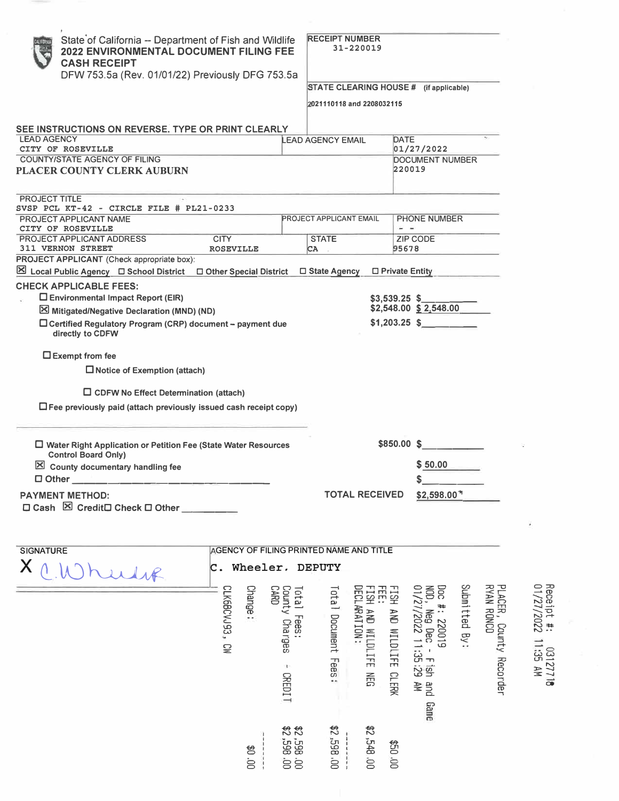| State of California -- Department of Fish and Wildlife<br>2022 ENVIRONMENTAL DOCUMENT FILING FEE<br><b>CASH RECEIPT</b><br>DFW 753.5a (Rev. 01/01/22) Previously DFG 753.5a                                                                                                            |                                         |                                                   | <b>RECEIPT NUMBER</b><br>2021110118 and 2208032115 | 31-220019                                     |                         | STATE CLEARING HOUSE # (if applicable)                             |               |                                                 |                                   |
|----------------------------------------------------------------------------------------------------------------------------------------------------------------------------------------------------------------------------------------------------------------------------------------|-----------------------------------------|---------------------------------------------------|----------------------------------------------------|-----------------------------------------------|-------------------------|--------------------------------------------------------------------|---------------|-------------------------------------------------|-----------------------------------|
| SEE INSTRUCTIONS ON REVERSE. TYPE OR PRINT CLEARLY                                                                                                                                                                                                                                     |                                         |                                                   |                                                    |                                               |                         |                                                                    |               |                                                 |                                   |
| <b>LEAD AGENCY</b><br>CITY OF ROSEVILLE                                                                                                                                                                                                                                                |                                         |                                                   | <b>LEAD AGENCY EMAIL</b>                           |                                               | DATE                    | 01/27/2022                                                         |               |                                                 |                                   |
| <b>COUNTY/STATE AGENCY OF FILING</b><br>PLACER COUNTY CLERK AUBURN                                                                                                                                                                                                                     |                                         |                                                   |                                                    |                                               |                         | <b>DOCUMENT NUMBER</b><br>220019                                   |               |                                                 |                                   |
| PROJECT TITLE<br>SVSP PCL KT-42 - CIRCLE FILE # PL21-0233                                                                                                                                                                                                                              |                                         |                                                   |                                                    |                                               |                         |                                                                    |               |                                                 |                                   |
| PROJECT APPLICANT NAME<br>CITY OF ROSEVILLE                                                                                                                                                                                                                                            |                                         |                                                   | PROJECT APPLICANT EMAIL                            |                                               |                         | <b>PHONE NUMBER</b><br>- -                                         |               |                                                 |                                   |
| PROJECT APPLICANT ADDRESS                                                                                                                                                                                                                                                              | <b>CITY</b>                             |                                                   | <b>STATE</b>                                       |                                               |                         | <b>ZIP CODE</b>                                                    |               |                                                 |                                   |
| <b>311 VERNON STREET</b>                                                                                                                                                                                                                                                               | <b>ROSEVILLE</b>                        |                                                   | СA                                                 |                                               |                         | 95678                                                              |               |                                                 |                                   |
| PROJECT APPLICANT (Check appropriate box):<br>⊠ Local Public Agency □ School District □ Other Special District                                                                                                                                                                         |                                         |                                                   | □ State Agency                                     |                                               |                         | □ Private Entity                                                   |               |                                                 |                                   |
| <b>CHECK APPLICABLE FEES:</b><br>$\square$ Environmental Impact Report (EIR)<br>Mitigated/Negative Declaration (MND) (ND)<br>□ Certified Regulatory Program (CRP) document - payment due<br>directly to CDFW                                                                           |                                         |                                                   |                                                    |                                               | $$3,539.25$ \$          | \$2,548.00 \$2,548.00<br>$$1,203.25$ \$                            |               |                                                 |                                   |
| $\Box$ CDFW No Effect Determination (attach)<br>$\Box$ Fee previously paid (attach previously issued cash receipt copy)<br>$\Box$ Water Right Application or Petition Fee (State Water Resources<br><b>Control Board Only)</b><br>$\mathbf{\times}$<br>County documentary handling fee |                                         |                                                   |                                                    |                                               | \$850.00 \$             | \$50.00                                                            |               |                                                 |                                   |
| $\square$ Other                                                                                                                                                                                                                                                                        |                                         |                                                   |                                                    |                                               |                         | S                                                                  |               |                                                 |                                   |
| <b>PAYMENT METHOD:</b><br>$\boxtimes$ Credit $\square$ Check $\square$ Other<br>$\square$ Cash                                                                                                                                                                                         |                                         |                                                   |                                                    | <b>TOTAL RECEIVED</b>                         |                         | \$2,598.00 <sup>*</sup>                                            |               |                                                 |                                   |
| <b>SIGNATURE</b>                                                                                                                                                                                                                                                                       | AGENCY OF FILING PRINTED NAME AND TITLE |                                                   |                                                    |                                               |                         |                                                                    |               |                                                 |                                   |
| X                                                                                                                                                                                                                                                                                      | Wheeler,<br>$\mathsf{c}.$               |                                                   | DEPUTY                                             |                                               |                         |                                                                    |               |                                                 |                                   |
|                                                                                                                                                                                                                                                                                        | CLK6BCVJ93,<br>Change:<br>Š             | <b>CARD</b><br>County Charges<br>Total Fees<br>3. | Total Document Fees:                               | DECLARATION:<br>品<br>FISH AND WILDLIFE<br>NEG | FISH AND WILDLIFE CLERK | Doc #: 220019<br>NAD , Neg Dec - Fish an<br>01/27/2022 11:35:29 AM | Submitted By: | <b>BYAN RONCO</b><br>PLACER, County<br>Recorder | Receipt #:<br>11/27/2022 11:35 AM |
|                                                                                                                                                                                                                                                                                        |                                         | <b>CREDIT</b><br>00'865'2\$<br>00'865'2\$         | \$2,598,00                                         | \$2,548.00                                    | 00.09                   | pue<br>Game                                                        |               |                                                 |                                   |